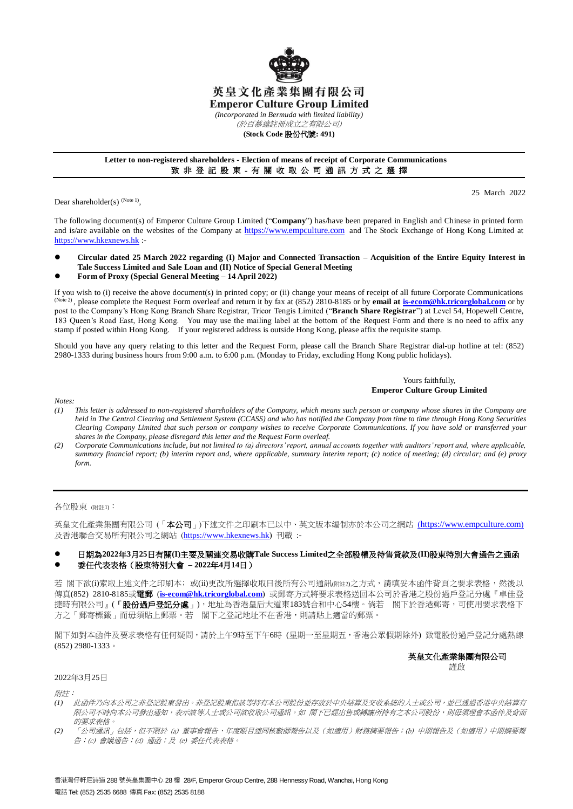

## 英皇文化產業集團有限公司 **Emperor Culture Group Limited**

*(Incorporated in Bermuda with limited liability)*

(於百慕達註冊成立之有限公司)

## **(Stock Code** 股份代號**: 491)**

## **Letter to non-registered shareholders - Election of means of receipt of Corporate Communications** 致 非 登 記 股 東 - 有 關 收 取 公 司 通 訊 方 式 之 選 擇

Dear shareholder(s)  $^{(Note 1)}$ ,

25 March 2022

The following document(s) of Emperor Culture Group Limited ("**Company**") has/have been prepared in English and Chinese in printed form and is/are available on the websites of the Company at [https://www.empculture.com](https://www.empculture.com/) and The Stock Exchange of Hong Kong Limited at [https://www.hkexnews.hk](https://www.hkexnews.hk/) :-

- **Circular dated 25 March 2022 regarding (I) Major and Connected Transaction – Acquisition of the Entire Equity Interest in Tale Success Limited and Sale Loan and (II) Notice of Special General Meeting**
- **Form of Proxy (Special General Meeting – 14 April 2022)**

If you wish to (i) receive the above document(s) in printed copy; or (ii) change your means of receipt of all future Corporate Communications <sup>(Note 2)</sup>, please complete the Request Form overleaf and return it by fax at (852) 2810-8185 or by **email a[t is-ecom@hk.tricorglobal.com](mailto:is-ecom@hk.tricorglobal.com)** or by post to the Company's Hong Kong Branch Share Registrar, Tricor Tengis Limited ("**Branch Share Registrar**") at Level 54, Hopewell Centre, 183 Queen's Road East, Hong Kong. You may use the mailing label at the bottom of the Request Form and there is no need to affix any stamp if posted within Hong Kong. If your registered address is outside Hong Kong, please affix the requisite stamp.

Should you have any query relating to this letter and the Request Form, please call the Branch Share Registrar dial-up hotline at tel: (852) 2980-1333 during business hours from 9:00 a.m. to 6:00 p.m. (Monday to Friday, excluding Hong Kong public holidays).

#### Yours faithfully, **Emperor Culture Group Limited**

*Notes:*

- *(1) This letter is addressed to non-registered shareholders of the Company, which means such person or company whose shares in the Company are held in The Central Clearing and Settlement System (CCASS) and who has notified the Company from time to time through Hong Kong Securities Clearing Company Limited that such person or company wishes to receive Corporate Communications. If you have sold or transferred your shares in the Company, please disregard this letter and the Request Form overleaf.*
- *(2) Corporate Communications include, but not limited to (a) directors' report, annual accounts together with auditors' report and, where applicable, summary financial report; (b) interim report and, where applicable, summary interim report; (c) notice of meeting; (d) circular; and (e) proxy form.*

各位股東 (附註1):

英皇文化產業集團有限公司 (「本公司」)下述文件之印刷本已以中、英文版本編制亦於本公司之網站 ([https://www.empculture.com](https://www.empculture.com/)) 及香港聯合交易所有限公司之網站 ([https://www.hkexnews.hk\)](https://www.hkexnews.hk/) 刊載 :-

## 日期為**2022**年**3**月**25**日有關**(I)**主要及關連交易收購**Tale Success Limited**之全部股權及待售貸款及**(II)**股東特別大會通告之通函 委任代表表格(股東特別大會 **– 2022**年**4**月**14**日)

若 閣下欲(i)索取上述文件之印刷本; 或(ii)更改所選擇收取日後所有公司通訊(附註2)之方式,請填妥本函件背頁之要求表格,然後以 傳真(852) 2810-8185或電郵 (**[is-ecom@hk.tricorglobal.com](mailto:is-ecom@hk.tricorglobal.com)**) 或郵寄方式將要求表格送回本公司於香港之股份過戶登記分處『卓佳登 捷時有限公司』(「**股份過戶登記分處**」),地址為香港皇后大道東183號合和中心54樓。倘若 閣下於香港郵寄,可使用要求表格下 方之「郵寄標籤」而毋須貼上郵票。若 閣下之登記地址不在香港,則請貼上適當的郵票。

閣下如對本函件及要求表格有任何疑問,請於上午9時至下午6時 (星期一至星期五,香港公眾假期除外) 致電股份過戶登記分處熱線 (852) 2980-1333。

## 英皇文化產業集團有限公司 謹啟

#### 2022年3月25日

附詳:

- *(1)* 此函件乃向本公司之非登記股東發出。非登記股東指該等持有本公司股份並存放於中央結算及交收系統的人士或公司,並已透過香港中央結算有 限公司不時向本公司發出通知,未來發言的不可能做取公司通訊。如 閣下已經出售或轉讓所持有之本公司股份,則毋須理會本函件及背面 的要求表格。
- *(2)* 「公司通訊」包括,但不限於 (a) 董事會報告、年度賬目連同核數師報告以及(如適用)財務摘要報告;(b) 中期報告及(如適用)中期摘要報 告;(c) 會議通告;(d) 通函;及 (e) 委任代表表格。